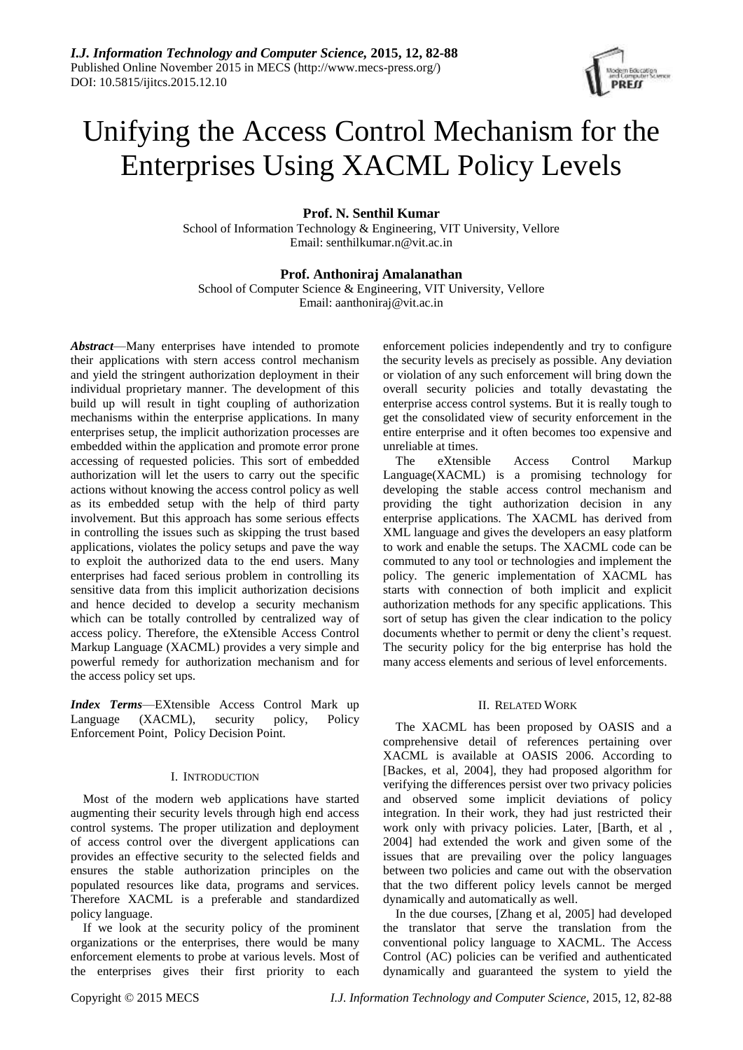

# Unifying the Access Control Mechanism for the Enterprises Using XACML Policy Levels

**Prof. N. Senthil Kumar**

School of Information Technology & Engineering, VIT University, Vellore Email[: senthilkumar.n@vit.ac.in](mailto:senthilkumar.n@vit.ac.in)

# **Prof. Anthoniraj Amalanathan**

School of Computer Science & Engineering, VIT University, Vellore Email: [aanthoniraj@vit.ac.in](mailto:aanthoniraj@vit.ac.in)

*Abstract*—Many enterprises have intended to promote their applications with stern access control mechanism and yield the stringent authorization deployment in their individual proprietary manner. The development of this build up will result in tight coupling of authorization mechanisms within the enterprise applications. In many enterprises setup, the implicit authorization processes are embedded within the application and promote error prone accessing of requested policies. This sort of embedded authorization will let the users to carry out the specific actions without knowing the access control policy as well as its embedded setup with the help of third party involvement. But this approach has some serious effects in controlling the issues such as skipping the trust based applications, violates the policy setups and pave the way to exploit the authorized data to the end users. Many enterprises had faced serious problem in controlling its sensitive data from this implicit authorization decisions and hence decided to develop a security mechanism which can be totally controlled by centralized way of access policy. Therefore, the eXtensible Access Control Markup Language (XACML) provides a very simple and powerful remedy for authorization mechanism and for the access policy set ups.

*Index Terms*—EXtensible Access Control Mark up Language (XACML), security policy, Policy Enforcement Point, Policy Decision Point.

## I. INTRODUCTION

Most of the modern web applications have started augmenting their security levels through high end access control systems. The proper utilization and deployment of access control over the divergent applications can provides an effective security to the selected fields and ensures the stable authorization principles on the populated resources like data, programs and services. Therefore XACML is a preferable and standardized policy language.

If we look at the security policy of the prominent organizations or the enterprises, there would be many enforcement elements to probe at various levels. Most of the enterprises gives their first priority to each enforcement policies independently and try to configure the security levels as precisely as possible. Any deviation or violation of any such enforcement will bring down the overall security policies and totally devastating the enterprise access control systems. But it is really tough to get the consolidated view of security enforcement in the entire enterprise and it often becomes too expensive and unreliable at times.

The eXtensible Access Control Markup Language(XACML) is a promising technology for developing the stable access control mechanism and providing the tight authorization decision in any enterprise applications. The XACML has derived from XML language and gives the developers an easy platform to work and enable the setups. The XACML code can be commuted to any tool or technologies and implement the policy. The generic implementation of XACML has starts with connection of both implicit and explicit authorization methods for any specific applications. This sort of setup has given the clear indication to the policy documents whether to permit or deny the client's request. The security policy for the big enterprise has hold the many access elements and serious of level enforcements.

## II. RELATED WORK

The XACML has been proposed by OASIS and a comprehensive detail of references pertaining over XACML is available at OASIS 2006. According to [Backes, et al, 2004], they had proposed algorithm for verifying the differences persist over two privacy policies and observed some implicit deviations of policy integration. In their work, they had just restricted their work only with privacy policies. Later, [Barth, et al , 2004] had extended the work and given some of the issues that are prevailing over the policy languages between two policies and came out with the observation that the two different policy levels cannot be merged dynamically and automatically as well.

In the due courses, [Zhang et al, 2005] had developed the translator that serve the translation from the conventional policy language to XACML. The Access Control (AC) policies can be verified and authenticated dynamically and guaranteed the system to yield the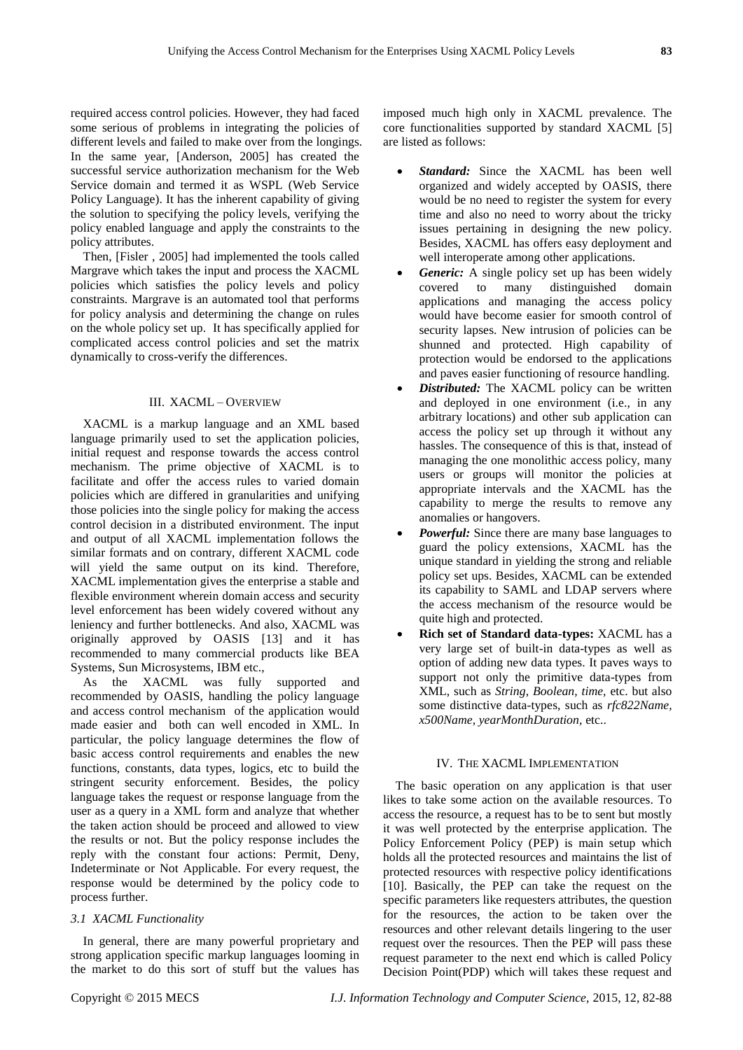required access control policies. However, they had faced some serious of problems in integrating the policies of different levels and failed to make over from the longings. In the same year, [Anderson, 2005] has created the successful service authorization mechanism for the Web Service domain and termed it as WSPL (Web Service Policy Language). It has the inherent capability of giving the solution to specifying the policy levels, verifying the policy enabled language and apply the constraints to the policy attributes.

Then, [Fisler , 2005] had implemented the tools called Margrave which takes the input and process the XACML policies which satisfies the policy levels and policy constraints. Margrave is an automated tool that performs for policy analysis and determining the change on rules on the whole policy set up. It has specifically applied for complicated access control policies and set the matrix dynamically to cross-verify the differences.

## III. XACML – OVERVIEW

XACML is a markup language and an XML based language primarily used to set the application policies, initial request and response towards the access control mechanism. The prime objective of XACML is to facilitate and offer the access rules to varied domain policies which are differed in granularities and unifying those policies into the single policy for making the access control decision in a distributed environment. The input and output of all XACML implementation follows the similar formats and on contrary, different XACML code will yield the same output on its kind. Therefore, XACML implementation gives the enterprise a stable and flexible environment wherein domain access and security level enforcement has been widely covered without any leniency and further bottlenecks. And also, XACML was originally approved by OASIS [13] and it has recommended to many commercial products like BEA Systems, Sun Microsystems, IBM etc.,

As the XACML was fully supported and recommended by OASIS, handling the policy language and access control mechanism of the application would made easier and both can well encoded in XML. In particular, the policy language determines the flow of basic access control requirements and enables the new functions, constants, data types, logics, etc to build the stringent security enforcement. Besides, the policy language takes the request or response language from the user as a query in a XML form and analyze that whether the taken action should be proceed and allowed to view the results or not. But the policy response includes the reply with the constant four actions: Permit, Deny, Indeterminate or Not Applicable. For every request, the response would be determined by the policy code to process further.

## *3.1 XACML Functionality*

In general, there are many powerful proprietary and strong application specific markup languages looming in the market to do this sort of stuff but the values has

imposed much high only in XACML prevalence. The core functionalities supported by standard XACML [5] are listed as follows:

- *Standard:* Since the XACML has been well organized and widely accepted by OASIS, there would be no need to register the system for every time and also no need to worry about the tricky issues pertaining in designing the new policy. Besides, XACML has offers easy deployment and well interoperate among other applications.
- *Generic:* A single policy set up has been widely covered to many distinguished domain applications and managing the access policy would have become easier for smooth control of security lapses. New intrusion of policies can be shunned and protected. High capability of protection would be endorsed to the applications and paves easier functioning of resource handling.
- *Distributed:* The XACML policy can be written and deployed in one environment (i.e., in any arbitrary locations) and other sub application can access the policy set up through it without any hassles. The consequence of this is that, instead of managing the one monolithic access policy, many users or groups will monitor the policies at appropriate intervals and the XACML has the capability to merge the results to remove any anomalies or hangovers.
- *Powerful:* Since there are many base languages to guard the policy extensions, XACML has the unique standard in yielding the strong and reliable policy set ups. Besides, XACML can be extended its capability to SAML and LDAP servers where the access mechanism of the resource would be quite high and protected.
- **Rich set of Standard data-types:** XACML has a very large set of built-in data-types as well as option of adding new data types. It paves ways to support not only the primitive data-types from XML, such as *String*, *Boolean, time,* etc. but also some distinctive data-types, such as *rfc822Name, x500Name, yearMonthDuration,* etc..

## IV. THE XACML IMPLEMENTATION

The basic operation on any application is that user likes to take some action on the available resources. To access the resource, a request has to be to sent but mostly it was well protected by the enterprise application. The Policy Enforcement Policy (PEP) is main setup which holds all the protected resources and maintains the list of protected resources with respective policy identifications [10]. Basically, the PEP can take the request on the specific parameters like requesters attributes, the question for the resources, the action to be taken over the resources and other relevant details lingering to the user request over the resources. Then the PEP will pass these request parameter to the next end which is called Policy Decision Point(PDP) which will takes these request and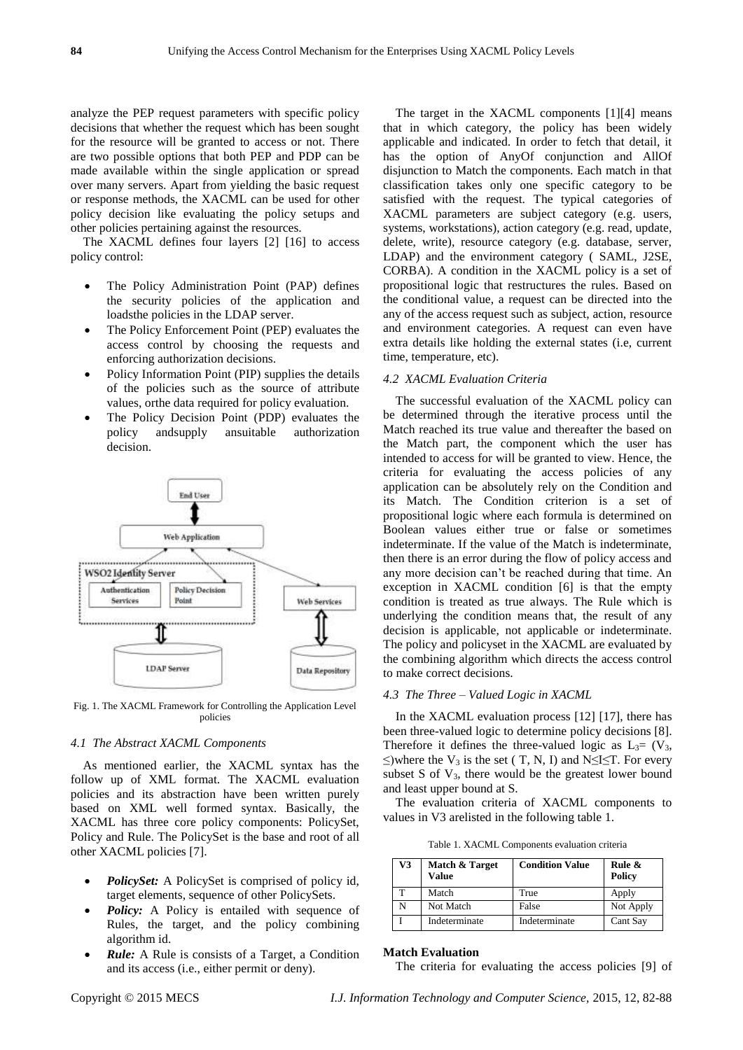analyze the PEP request parameters with specific policy decisions that whether the request which has been sought for the resource will be granted to access or not. There are two possible options that both PEP and PDP can be made available within the single application or spread over many servers. Apart from yielding the basic request or response methods, the XACML can be used for other policy decision like evaluating the policy setups and other policies pertaining against the resources.

The XACML defines four layers [2] [16] to access policy control:

- The Policy Administration Point (PAP) defines the security policies of the application and loadsthe policies in the LDAP server.
- The Policy Enforcement Point (PEP) evaluates the access control by choosing the requests and enforcing authorization decisions.
- Policy Information Point (PIP) supplies the details of the policies such as the source of attribute values, orthe data required for policy evaluation.
- The Policy Decision Point (PDP) evaluates the policy andsupply ansuitable authorization decision.



Fig. 1. The XACML Framework for Controlling the Application Level policies

## *4.1 The Abstract XACML Components*

As mentioned earlier, the XACML syntax has the follow up of XML format. The XACML evaluation policies and its abstraction have been written purely based on XML well formed syntax. Basically, the XACML has three core policy components: PolicySet, Policy and Rule. The PolicySet is the base and root of all other XACML policies [7].

- *PolicySet:* A PolicySet is comprised of policy id, target elements, sequence of other PolicySets.
- *Policy:* A Policy is entailed with sequence of Rules, the target, and the policy combining algorithm id.
- **Rule:** A Rule is consists of a Target, a Condition and its access (i.e., either permit or deny).

The target in the XACML components [1][4] means that in which category, the policy has been widely applicable and indicated. In order to fetch that detail, it has the option of AnyOf conjunction and AllOf disjunction to Match the components. Each match in that classification takes only one specific category to be satisfied with the request. The typical categories of XACML parameters are subject category (e.g. users, systems, workstations), action category (e.g. read, update, delete, write), resource category (e.g. database, server, LDAP) and the environment category ( SAML, J2SE, CORBA). A condition in the XACML policy is a set of propositional logic that restructures the rules. Based on the conditional value, a request can be directed into the any of the access request such as subject, action, resource and environment categories. A request can even have extra details like holding the external states (i.e, current time, temperature, etc).

## *4.2 XACML Evaluation Criteria*

The successful evaluation of the XACML policy can be determined through the iterative process until the Match reached its true value and thereafter the based on the Match part, the component which the user has intended to access for will be granted to view. Hence, the criteria for evaluating the access policies of any application can be absolutely rely on the Condition and its Match. The Condition criterion is a set of propositional logic where each formula is determined on Boolean values either true or false or sometimes indeterminate. If the value of the Match is indeterminate, then there is an error during the flow of policy access and any more decision can't be reached during that time. An exception in XACML condition [6] is that the empty condition is treated as true always. The Rule which is underlying the condition means that, the result of any decision is applicable, not applicable or indeterminate. The policy and policyset in the XACML are evaluated by the combining algorithm which directs the access control to make correct decisions.

## *4.3 The Three – Valued Logic in XACML*

In the XACML evaluation process [12] [17], there has been three-valued logic to determine policy decisions [8]. Therefore it defines the three-valued logic as  $L_3 = (V_3, V_3)$ ≤)where the  $V_3$  is the set ( T, N, I) and N≤I≤T. For every subset  $S$  of  $V_3$ , there would be the greatest lower bound and least upper bound at S.

The evaluation criteria of XACML components to values in V3 arelisted in the following table 1.

Table 1. XACML Components evaluation criteria

| V3 | Match & Target<br>Value | <b>Condition Value</b> | Rule $\&$<br><b>Policy</b> |
|----|-------------------------|------------------------|----------------------------|
|    | Match                   | True                   | Apply                      |
|    | Not Match               | False                  | Not Apply                  |
|    | Indeterminate           | Indeterminate          | Cant Say                   |

## **Match Evaluation**

The criteria for evaluating the access policies [9] of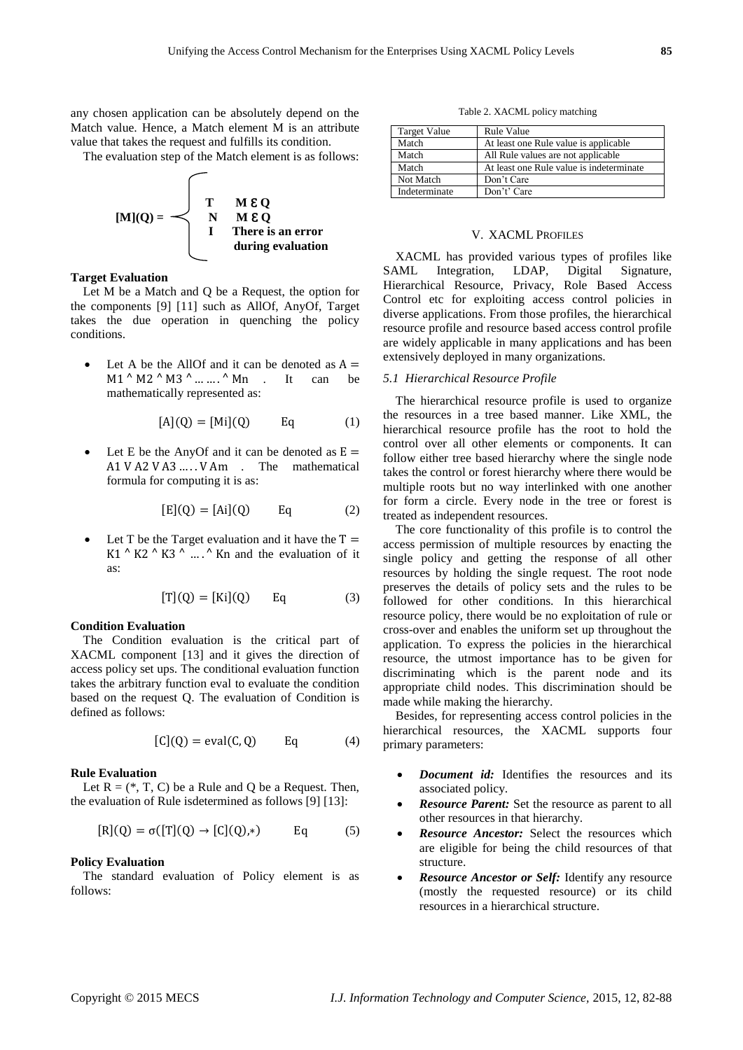any chosen application can be absolutely depend on the Match value. Hence, a Match element M is an attribute value that takes the request and fulfills its condition.

The evaluation step of the Match element is as follows:



## **Target Evaluation**

Let M be a Match and Q be a Request, the option for the components [9] [11] such as AllOf, AnyOf, Target takes the due operation in quenching the policy conditions.

• Let A be the AllOf and it can be denoted as  $A =$ M1 ^ M2 ^ M3 ^ ... ... ^ Mn . It can be mathematically represented as:

$$
[A](Q) = [Mi](Q) \qquad Eq \qquad (1)
$$

• Let E be the AnyOf and it can be denoted as  $E =$ A1 V A2 V A3  $\dots$  V Am  $\dots$  The mathematical formula for computing it is as:

$$
[E](Q) = [Ai](Q) \qquad Eq \qquad (2)
$$

• Let T be the Target evaluation and it have the  $T =$ K1  $\wedge$  K2  $\wedge$  K3  $\wedge$   $\ldots$   $\wedge$  Kn and the evaluation of it as:

$$
[T](Q) = [Ki](Q) \qquad Eq \tag{3}
$$

### **Condition Evaluation**

The Condition evaluation is the critical part of XACML component [13] and it gives the direction of access policy set ups. The conditional evaluation function takes the arbitrary function eval to evaluate the condition based on the request Q. The evaluation of Condition is defined as follows:

$$
[C](Q) = eval(C, Q) \qquad Eq \qquad (4)
$$

## **Rule Evaluation**

Let  $R = (*, T, C)$  be a Rule and Q be a Request. Then, the evaluation of Rule isdetermined as follows [9] [13]:

$$
[R](Q) = \sigma([T](Q) \to [C](Q), *)
$$
 Eq (5)

# **Policy Evaluation**

The standard evaluation of Policy element is as follows:

Table 2. XACML policy matching

| <b>Target Value</b> | <b>Rule Value</b>                        |
|---------------------|------------------------------------------|
| Match               | At least one Rule value is applicable.   |
| Match               | All Rule values are not applicable       |
| Match               | At least one Rule value is indeterminate |
| Not Match           | Don't Care                               |
| Indeterminate       | Don't' Care                              |

#### V. XACML PROFILES

XACML has provided various types of profiles like SAML Integration, LDAP, Digital Signature, Hierarchical Resource, Privacy, Role Based Access Control etc for exploiting access control policies in diverse applications. From those profiles, the hierarchical resource profile and resource based access control profile are widely applicable in many applications and has been extensively deployed in many organizations.

## *5.1 Hierarchical Resource Profile*

The hierarchical resource profile is used to organize the resources in a tree based manner. Like XML, the hierarchical resource profile has the root to hold the control over all other elements or components. It can follow either tree based hierarchy where the single node takes the control or forest hierarchy where there would be multiple roots but no way interlinked with one another for form a circle. Every node in the tree or forest is treated as independent resources.

The core functionality of this profile is to control the access permission of multiple resources by enacting the single policy and getting the response of all other resources by holding the single request. The root node preserves the details of policy sets and the rules to be followed for other conditions. In this hierarchical resource policy, there would be no exploitation of rule or cross-over and enables the uniform set up throughout the application. To express the policies in the hierarchical resource, the utmost importance has to be given for discriminating which is the parent node and its appropriate child nodes. This discrimination should be made while making the hierarchy.

Besides, for representing access control policies in the hierarchical resources, the XACML supports four primary parameters:

- *Document id:* Identifies the resources and its associated policy.
- *Resource Parent:* Set the resource as parent to all other resources in that hierarchy.
- *Resource Ancestor:* Select the resources which are eligible for being the child resources of that structure.
- *Resource Ancestor or Self:* Identify any resource (mostly the requested resource) or its child resources in a hierarchical structure.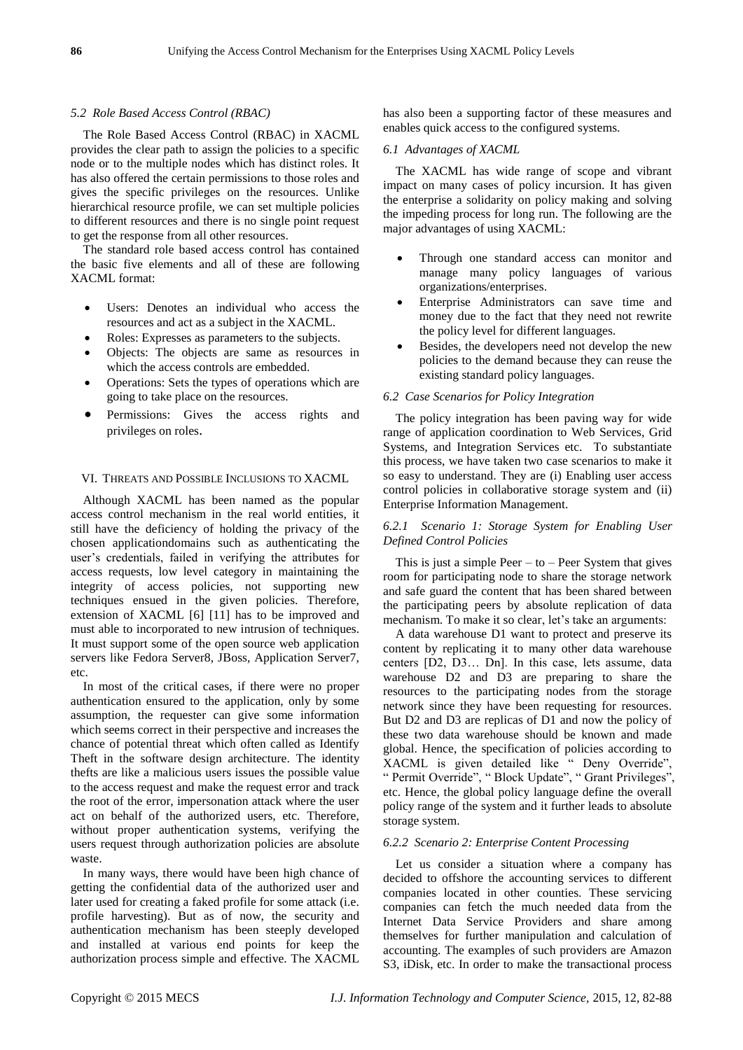## *5.2 Role Based Access Control (RBAC)*

The Role Based Access Control (RBAC) in XACML provides the clear path to assign the policies to a specific node or to the multiple nodes which has distinct roles. It has also offered the certain permissions to those roles and gives the specific privileges on the resources. Unlike hierarchical resource profile, we can set multiple policies to different resources and there is no single point request to get the response from all other resources.

The standard role based access control has contained the basic five elements and all of these are following XACML format:

- Users: Denotes an individual who access the resources and act as a subject in the XACML.
- Roles: Expresses as parameters to the subjects.
- Objects: The objects are same as resources in which the access controls are embedded.
- Operations: Sets the types of operations which are going to take place on the resources.
- Permissions: Gives the access rights and privileges on roles.

## VI. THREATS AND POSSIBLE INCLUSIONS TO XACML

Although XACML has been named as the popular access control mechanism in the real world entities, it still have the deficiency of holding the privacy of the chosen applicationdomains such as authenticating the user's credentials, failed in verifying the attributes for access requests, low level category in maintaining the integrity of access policies, not supporting new techniques ensued in the given policies. Therefore, extension of XACML [6] [11] has to be improved and must able to incorporated to new intrusion of techniques. It must support some of the open source web application servers like Fedora Server8, JBoss, Application Server7, etc.

In most of the critical cases, if there were no proper authentication ensured to the application, only by some assumption, the requester can give some information which seems correct in their perspective and increases the chance of potential threat which often called as Identify Theft in the software design architecture. The identity thefts are like a malicious users issues the possible value to the access request and make the request error and track the root of the error, impersonation attack where the user act on behalf of the authorized users, etc. Therefore, without proper authentication systems, verifying the users request through authorization policies are absolute waste.

In many ways, there would have been high chance of getting the confidential data of the authorized user and later used for creating a faked profile for some attack (i.e. profile harvesting). But as of now, the security and authentication mechanism has been steeply developed and installed at various end points for keep the authorization process simple and effective. The XACML

has also been a supporting factor of these measures and enables quick access to the configured systems.

## *6.1 Advantages of XACML*

The XACML has wide range of scope and vibrant impact on many cases of policy incursion. It has given the enterprise a solidarity on policy making and solving the impeding process for long run. The following are the major advantages of using XACML:

- Through one standard access can monitor and manage many policy languages of various organizations/enterprises.
- Enterprise Administrators can save time and money due to the fact that they need not rewrite the policy level for different languages.
- Besides, the developers need not develop the new policies to the demand because they can reuse the existing standard policy languages.

#### *6.2 Case Scenarios for Policy Integration*

The policy integration has been paving way for wide range of application coordination to Web Services, Grid Systems, and Integration Services etc. To substantiate this process, we have taken two case scenarios to make it so easy to understand. They are (i) Enabling user access control policies in collaborative storage system and (ii) Enterprise Information Management.

# *6.2.1 Scenario 1: Storage System for Enabling User Defined Control Policies*

This is just a simple  $Peer - to - Peer$  System that gives room for participating node to share the storage network and safe guard the content that has been shared between the participating peers by absolute replication of data mechanism. To make it so clear, let's take an arguments:

A data warehouse D1 want to protect and preserve its content by replicating it to many other data warehouse centers [D2, D3… Dn]. In this case, lets assume, data warehouse D2 and D3 are preparing to share the resources to the participating nodes from the storage network since they have been requesting for resources. But D2 and D3 are replicas of D1 and now the policy of these two data warehouse should be known and made global. Hence, the specification of policies according to XACML is given detailed like " Deny Override", " Permit Override", " Block Update", " Grant Privileges", etc. Hence, the global policy language define the overall policy range of the system and it further leads to absolute storage system.

## *6.2.2 Scenario 2: Enterprise Content Processing*

Let us consider a situation where a company has decided to offshore the accounting services to different companies located in other counties. These servicing companies can fetch the much needed data from the Internet Data Service Providers and share among themselves for further manipulation and calculation of accounting. The examples of such providers are Amazon S3, iDisk, etc. In order to make the transactional process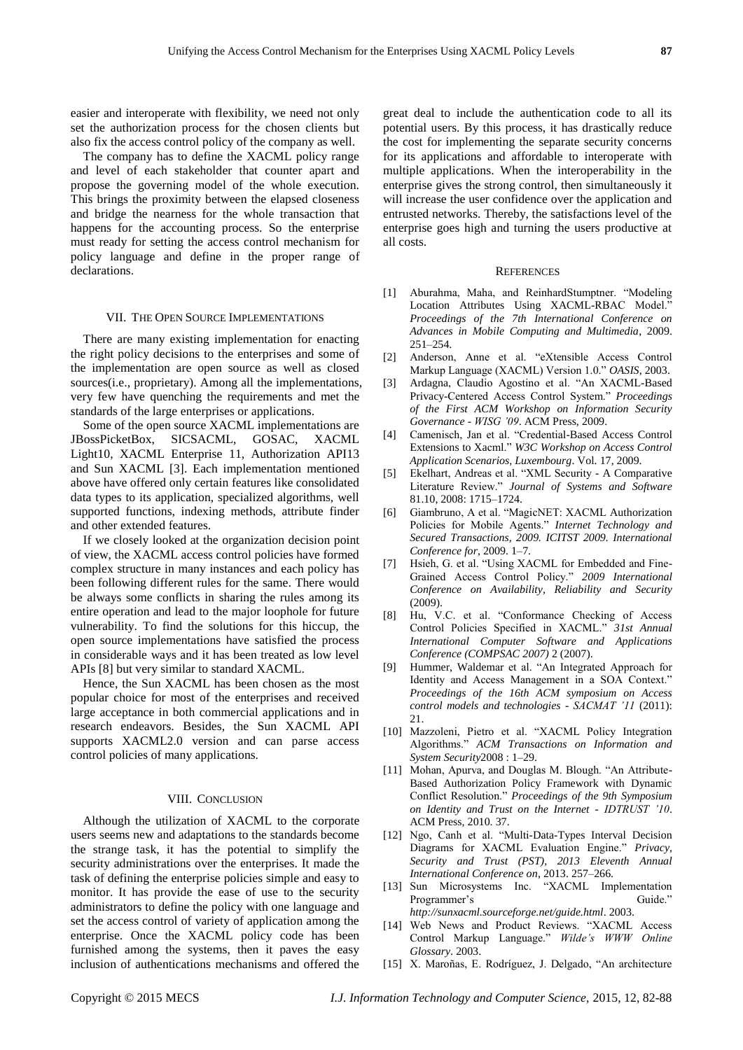easier and interoperate with flexibility, we need not only set the authorization process for the chosen clients but also fix the access control policy of the company as well.

The company has to define the XACML policy range and level of each stakeholder that counter apart and propose the governing model of the whole execution. This brings the proximity between the elapsed closeness and bridge the nearness for the whole transaction that happens for the accounting process. So the enterprise must ready for setting the access control mechanism for policy language and define in the proper range of declarations.

#### VII. THE OPEN SOURCE IMPLEMENTATIONS

There are many existing implementation for enacting the right policy decisions to the enterprises and some of the implementation are open source as well as closed sources(i.e., proprietary). Among all the implementations, very few have quenching the requirements and met the standards of the large enterprises or applications.

Some of the open source XACML implementations are JBossPicketBox, SICSACML, GOSAC, XACML Light10, XACML Enterprise 11, Authorization API13 and Sun XACML [3]. Each implementation mentioned above have offered only certain features like consolidated data types to its application, specialized algorithms, well supported functions, indexing methods, attribute finder and other extended features.

If we closely looked at the organization decision point of view, the XACML access control policies have formed complex structure in many instances and each policy has been following different rules for the same. There would be always some conflicts in sharing the rules among its entire operation and lead to the major loophole for future vulnerability. To find the solutions for this hiccup, the open source implementations have satisfied the process in considerable ways and it has been treated as low level APIs [8] but very similar to standard XACML.

Hence, the Sun XACML has been chosen as the most popular choice for most of the enterprises and received large acceptance in both commercial applications and in research endeavors. Besides, the Sun XACML API supports XACML2.0 version and can parse access control policies of many applications.

## VIII. CONCLUSION

Although the utilization of XACML to the corporate users seems new and adaptations to the standards become the strange task, it has the potential to simplify the security administrations over the enterprises. It made the task of defining the enterprise policies simple and easy to monitor. It has provide the ease of use to the security administrators to define the policy with one language and set the access control of variety of application among the enterprise. Once the XACML policy code has been furnished among the systems, then it paves the easy inclusion of authentications mechanisms and offered the great deal to include the authentication code to all its potential users. By this process, it has drastically reduce the cost for implementing the separate security concerns for its applications and affordable to interoperate with multiple applications. When the interoperability in the enterprise gives the strong control, then simultaneously it will increase the user confidence over the application and entrusted networks. Thereby, the satisfactions level of the enterprise goes high and turning the users productive at all costs.

#### **REFERENCES**

- [1] Aburahma, Maha, and ReinhardStumptner. "Modeling Location Attributes Using XACML-RBAC Model." *Proceedings of the 7th International Conference on Advances in Mobile Computing and Multimedia*, 2009. 251–254.
- [2] Anderson, Anne et al. "eXtensible Access Control Markup Language (XACML) Version 1.0." *OASIS*, 2003.
- [3] Ardagna, Claudio Agostino et al. "An XACML-Based Privacy-Centered Access Control System." *Proceedings of the First ACM Workshop on Information Security Governance - WISG '09*. ACM Press, 2009.
- [4] Camenisch, Jan et al. "Credential-Based Access Control Extensions to Xacml." *W3C Workshop on Access Control Application Scenarios, Luxembourg*. Vol. 17, 2009.
- [5] Ekelhart, Andreas et al. "XML Security A Comparative Literature Review." *Journal of Systems and Software* 81.10, 2008: 1715–1724.
- [6] Giambruno, A et al. "MagicNET: XACML Authorization Policies for Mobile Agents." *Internet Technology and Secured Transactions, 2009. ICITST 2009. International Conference for*, 2009. 1–7.
- [7] Hsieh, G. et al. "Using XACML for Embedded and Fine-Grained Access Control Policy." *2009 International Conference on Availability, Reliability and Security* (2009).
- [8] Hu, V.C. et al. "Conformance Checking of Access Control Policies Specified in XACML." *31st Annual International Computer Software and Applications Conference (COMPSAC 2007)* 2 (2007).
- [9] Hummer, Waldemar et al. "An Integrated Approach for Identity and Access Management in a SOA Context." *Proceedings of the 16th ACM symposium on Access control models and technologies - SACMAT '11* (2011): 21.
- [10] Mazzoleni, Pietro et al. "XACML Policy Integration Algorithms." *ACM Transactions on Information and System Security*2008 : 1–29.
- [11] Mohan, Apurva, and Douglas M. Blough. "An Attribute-Based Authorization Policy Framework with Dynamic Conflict Resolution." *Proceedings of the 9th Symposium on Identity and Trust on the Internet - IDTRUST '10*. ACM Press, 2010. 37.
- [12] Ngo, Canh et al. "Multi-Data-Types Interval Decision Diagrams for XACML Evaluation Engine." *Privacy, Security and Trust (PST), 2013 Eleventh Annual International Conference on*, 2013. 257–266.
- [13] Sun Microsystems Inc. "XACML Implementation Programmer's Guide." *http://sunxacml.sourceforge.net/guide.html*. 2003.
- [14] Web News and Product Reviews. "XACML Access Control Markup Language." *Wilde's WWW Online Glossary*. 2003.
- [15] X. Maroñas, E. Rodríguez, J. Delgado, "An architecture